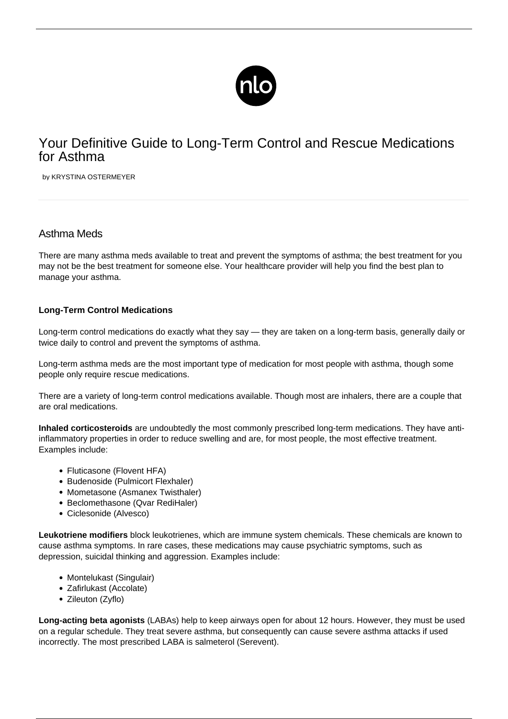

# Your Definitive Guide to Long-Term Control and Rescue Medications for Asthma

by KRYSTINA OSTERMEYER

# Asthma Meds

There are many asthma meds available to treat and prevent the [symptoms of asthma](/symptoms-asthma/); the best treatment for you may not be the best treatment for someone else. Your healthcare provider will help you find the best plan to manage your asthma.

## **Long-Term Control Medications**

Long-term control medications do exactly what they say — they are taken on a long-term basis, generally daily or twice daily to control and prevent the symptoms of asthma.

Long-term asthma meds are the most important type of medication for most people with asthma, though some people only require rescue medications.

There are a variety of long-term control medications available. Though most are inhalers, there are a couple that are oral medications.

**Inhaled corticosteroids** are undoubtedly the most commonly prescribed long-term medications. They have antiinflammatory properties in order to reduce swelling and are, for most people, the most effective treatment. Examples include:

- Fluticasone (Flovent HFA)
- Budenoside (Pulmicort Flexhaler)
- Mometasone (Asmanex Twisthaler)
- Beclomethasone (Qvar RediHaler)
- Ciclesonide (Alvesco)

**Leukotriene modifiers** block leukotrienes, which are immune system chemicals. These chemicals are known to cause asthma symptoms. In rare cases, these medications may cause psychiatric symptoms, such as depression, suicidal thinking and aggression. Examples include:

- Montelukast (Singulair)
- Zafirlukast (Accolate)
- Zileuton (Zyflo)

**Long-acting beta agonists** (LABAs) help to keep airways open for about 12 hours. However, they must be used on a regular schedule. They treat severe asthma, but consequently can cause severe asthma attacks if used incorrectly. The most prescribed LABA is salmeterol (Serevent).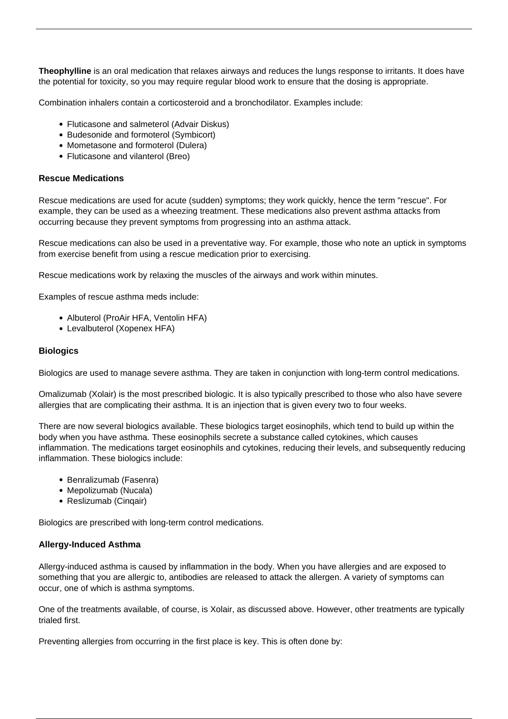**Theophylline** is an oral medication that relaxes airways and reduces the lungs response to irritants. It does have the potential for toxicity, so you may require regular blood work to ensure that the dosing is appropriate.

Combination inhalers contain a corticosteroid and a bronchodilator. Examples include:

- Fluticasone and salmeterol (Advair Diskus)
- Budesonide and formoterol (Symbicort)
- Mometasone and formoterol (Dulera)
- Fluticasone and vilanterol (Breo)

#### **Rescue Medications**

Rescue medications are used for acute (sudden) symptoms; they work quickly, hence the term "rescue". For example, they can be used as a wheezing treatment. These medications also prevent [asthma attacks](/asthma-attack-symptoms/) from occurring because they prevent symptoms from progressing into an asthma attack.

Rescue medications can also be used in a preventative way. For example, those who note an uptick in symptoms from exercise benefit from using a rescue medication prior to exercising.

Rescue medications work by relaxing the muscles of the airways and work within minutes.

Examples of rescue asthma meds include:

- Albuterol (ProAir HFA, Ventolin HFA)
- Levalbuterol (Xopenex HFA)

#### **Biologics**

Biologics are used to manage severe asthma. They are taken in conjunction with long-term control medications.

Omalizumab (Xolair) is the most prescribed biologic. It is also typically prescribed to those who also have severe allergies that are complicating their asthma. It is an injection that is given every two to four weeks.

There are now several biologics available. These biologics target eosinophils, which tend to build up within the body when you have asthma. These eosinophils secrete a substance called cytokines, which causes inflammation. The medications target eosinophils and cytokines, reducing their levels, and subsequently reducing inflammation. These biologics include:

- Benralizumab (Fasenra)
- Mepolizumab (Nucala)
- Reslizumab (Cinqair)

Biologics are prescribed with long-term control medications.

#### **Allergy-Induced Asthma**

[Allergy-induced asthma](/allergic-asthma/) is caused by inflammation in the body. When you have allergies and are exposed to something that you are allergic to, antibodies are released to attack the allergen. A variety of symptoms can occur, one of which is asthma symptoms.

One of the treatments available, of course, is Xolair, as discussed above. However, other treatments are typically trialed first.

Preventing allergies from occurring in the first place is key. This is often done by: